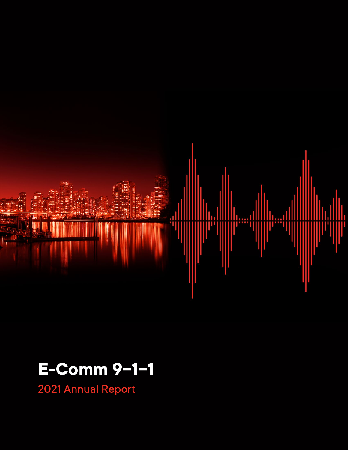

# **E-Comm 9-1-1**

2021 Annual Report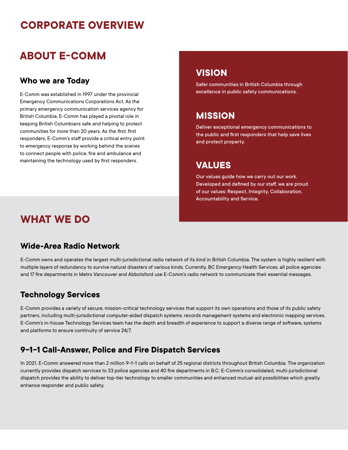## **CORPORATE OVERVIEW**

## **ABOUT E-COMM**

### **Who we are Today**

E-Comm was established in 1997 under the provincial Emergency Communications Corporations Act. As the primary emergency communication services agency for British Columbia, E-Comm has played a pivotal role in keeping British Columbians safe and helping to protect communities for more than 20 years. As the *first*, first responders, E-Comm's staff provide a critical entry point to emergency response by working behind the scenes to connect people with police, fire and ambulance and maintaining the technology used by first responders.

### **VISION**

Safer communities in British Columbia through excellence in public safety communications.

### **MISSION**

Deliver exceptional emergency communications to the public and first responders that help save lives and protect property.

### **VALUES**

Our values guide how we carry out our work. Developed and defined by our staff, we are proud of our values: Respect, Integrity, Collaboration, Accountability and Service.

### **WHAT WE DO**

### **Wide-Area Radio Network**

E-Comm owns and operates the largest multi-jurisdictional radio network of its kind in British Columbia. The system is highly resilient with multiple layers of redundancy to survive natural disasters of various kinds. Currently, BC Emergency Health Services, all police agencies and 17 fire departments in Metro Vancouver and Abbotsford use E-Comm's radio network to communicate their essential messages.

### **Technology Services**

E-Comm provides a variety of secure, mission-critical technology services that support its own operations and those of its public safety partners, including multi-jurisdictional computer-aided dispatch systems, records management systems and electronic mapping services. E-Comm's in-house Technology Services team has the depth and breadth of experience to support a diverse range of software, systems and platforms to ensure continuity of service 24/7.

### **9-1-1 Call-Answer, Police and Fire Dispatch Services**

In 2021, E-Comm answered more than 2 million 9-1-1 calls on behalf of 25 regional districts throughout British Columbia. The organization currently provides dispatch services to 33 police agencies and 40 fire departments in B.C. E-Comm's consolidated, multi-jurisdictional dispatch provides the ability to deliver top-tier technology to smaller communities and enhanced mutual-aid possibilities which greatly enhance responder and public safety.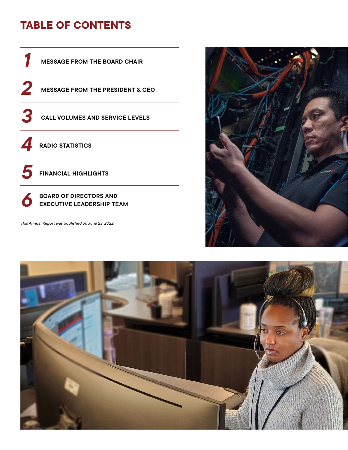## **TABLE OF CONTENTS**



This Annual Report was published on June 23, 2022.



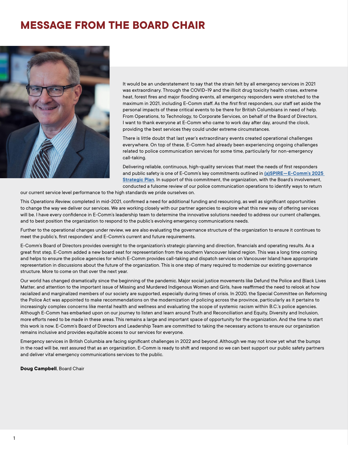## <span id="page-3-0"></span>**MESSAGE FROM THE BOARD CHAIR**



It would be an understatement to say that the strain felt by all emergency services in 2021 was extraordinary. Through the COVID-19 and the opioid health crises, extreme heat, forest fires and major flooding events, all emergency responders were stretched to the maximum in 2021, including E-Comm staff. As the *first* first responders, our staff set aside the personal impacts of these critical events to be there for British Columbians in need of help. From Operations, to Technology, to Corporate Services, on behalf of the Board of Directors, I want to thank everyone at E-Comm who came to work day after day, around the clock, providing the best services they could under extreme circumstances.

There is little doubt that last year's extraordinary events created operational challenges everywhere. On top of these, E-Comm had already been experiencing ongoing challenges related to police communication services for some time, particularly for non-emergency call-taking.

Delivering reliable, continuous, high-quality services that meet the needs of first responders and public safety is one of E-Comm's key commitments outlined in **[\(a\)SPIRE—E-Comm's 2025](https://www.ecomm911.ca/strategic-plan/download-the-report/)  [Strategic Plan](https://www.ecomm911.ca/strategic-plan/download-the-report/)**. In support of this commitment, the organization, with the Board's involvement, conducted a fulsome review of our police communication operations to identify ways to return

our current service level performance to the high standards we pride ourselves on.

This *Operations Review*, completed in mid-2021, confirmed a need for additional funding and resourcing, as well as significant opportunities to change the way we deliver our services. We are working closely with our partner agencies to explore what this new way of offering services will be. I have every confidence in E-Comm's leadership team to determine the innovative solutions needed to address our current challenges, and to best position the organization to respond to the public's evolving emergency communications needs.

Further to the operational changes under review, we are also evaluating the governance structure of the organization to ensure it continues to meet the public's, first responders' and E-Comm's current and future requirements.

E-Comm's Board of Directors provides oversight to the organization's strategic planning and direction, financials and operating results. As a great first step, E-Comm added a new board seat for representation from the southern Vancouver Island region. This was a long time coming and helps to ensure the police agencies for which E-Comm provides call-taking and dispatch services on Vancouver Island have appropriate representation in discussions about the future of the organization. This is one step of many required to modernize our existing governance structure. More to come on that over the next year.

Our world has changed dramatically since the beginning of the pandemic. Major social justice movements like Defund the Police and Black Lives Matter, and attention to the important issue of Missing and Murdered Indigenous Women and Girls, have reaffirmed the need to relook at how racialized and marginalized members of our society are supported, especially during times of crisis. In 2020, the Special Committee on Reforming the Police Act was appointed to make recommendations on the modernization of policing across the province, particularly as it pertains to increasingly complex concerns like mental health and wellness and evaluating the scope of systemic racism within B.C.'s police agencies. Although E-Comm has embarked upon on our journey to listen and learn around Truth and Reconciliation and Equity, Diversity and Inclusion, more efforts need to be made in these areas. This remains a large and important space of opportunity for the organization. And the time to start this work is now. E-Comm's Board of Directors and Leadership Team are committed to taking the necessary actions to ensure our organization remains inclusive and provides equitable access to our services for everyone.

Emergency services in British Columbia are facing significant challenges in 2022 and beyond. Although we may not know yet what the bumps in the road will be, rest assured that as an organization, E-Comm is ready to shift and respond so we can best support our public safety partners and deliver vital emergency communications services to the public.

**Doug Campbell**, Board Chair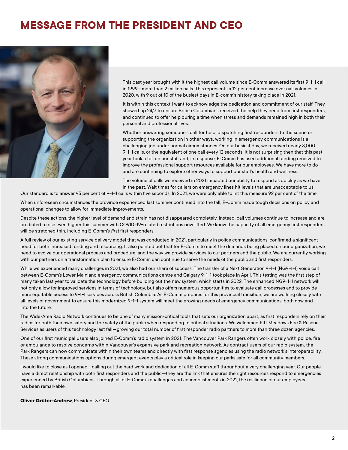## <span id="page-4-0"></span>**MESSAGE FROM THE PRESIDENT AND CEO**



This past year brought with it the highest call volume since E-Comm answered its first 9-1-1 call in 1999—more than 2 million calls. This represents a 12 per cent increase over call volumes in 2020, with 9 out of 10 of the busiest days in E-comm's history taking place in 2021.

It is within this context I want to acknowledge the dedication and commitment of our staff. They showed up 24/7 to ensure British Columbians received the help they need from first responders, and continued to offer help during a time when stress and demands remained high in both their personal and professional lives.

Whether answering someone's call for help, dispatching first responders to the scene or supporting the organization in other ways, working in emergency communications is a challenging job under normal circumstances. On our busiest day, we received nearly 8,000 9-1-1 calls, or the equivalent of one call every 12 seconds. It is not surprising then that this past year took a toll on our staff and, in response, E-Comm has used additional funding received to improve the professional support resources available for our employees. We have more to do and are continuing to explore other ways to support our staff's health and wellness.

The volume of calls we received in 2021 impacted our ability to respond as quickly as we have in the past. Wait times for callers on emergency lines hit levels that are unacceptable to us.

Our standard is to answer 95 per cent of 9-1-1 calls within five seconds. In 2021, we were only able to hit this measure 92 per cent of the time.

When unforeseen circumstances the province experienced last summer continued into the fall, E-Comm made tough decisions on policy and operational changes to allow for immediate improvements.

Despite these actions, the higher level of demand and strain has not disappeared completely. Instead, call volumes continue to increase and are predicted to rise even higher this summer with COVID-19-related restrictions now lifted. We know the capacity of all emergency first responders will be stretched thin, including E-Comm's *first* first responders.

A full review of our existing service delivery model that was conducted in 2021, particularly in police communications, confirmed a significant need for both increased funding and resourcing. It also pointed out that for E-Comm to meet the demands being placed on our organization, we need to evolve our operational process and procedure, and the way we provide services to our partners and the public. We are currently working with our partners on a transformation plan to ensure E-Comm can continue to serve the needs of the public and first responders.

While we experienced many challenges in 2021, we also had our share of success. The transfer of a Next Generation 9-1-1 (NG9-1-1) voice call between E-Comm's Lower Mainland emergency communications centre and Calgary 9-1-1 took place in April. This testing was the first step of many taken last year to validate the technology before building out the new system, which starts in 2022. The enhanced NG9-1-1 network will not only allow for improved services in terms of technology, but also offers numerous opportunities to evaluate call processes and to provide more equitable access to 9-1-1 services across British Columbia. As E-Comm prepares for this provincial transition, we are working closely with all levels of government to ensure this modernized 9-1-1 system will meet the growing needs of emergency communications, both now and into the future.

The Wide-Area Radio Network continues to be one of many mission-critical tools that sets our organization apart, as first responders rely on their radios for both their own safety and the safety of the public when responding to critical situations. We welcomed Pitt Meadows Fire & Rescue Services as users of this technology last fall—growing our total number of first responder radio partners to more than three dozen agencies.

One of our first municipal users also joined E-Comm's radio system in 2021. The Vancouver Park Rangers often work closely with police, fire or ambulance to resolve concerns within Vancouver's expansive park and recreation network. As contract users of our radio system, the Park Rangers can now communicate within their own teams and directly with first response agencies using the radio network's interoperability. These strong communications options during emergent events play a critical role in keeping our parks safe for all community members.

I would like to close as I opened—calling out the hard work and dedication of all E-Comm staff throughout a very challenging year. Our people have a direct relationship with both first responders and the public—they are the link that ensures the right resources respond to emergencies experienced by British Columbians. Through all of E-Comm's challenges and accomplishments in 2021, the resilience of our employees has been remarkable.

**Oliver Grüter-Andrew**, President & CEO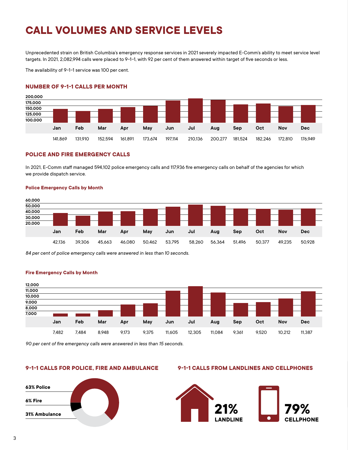## <span id="page-5-0"></span>**CALL VOLUMES AND SERVICE LEVELS**

Unprecedented strain on British Columbia's emergency response services in 2021 severely impacted E-Comm's ability to meet service level targets. In 2021, 2,082,994 calls were placed to 9-1-1, with 92 per cent of them answered within target of five seconds or less.

The availability of 9-1-1 service was 100 per cent.

#### **NUMBER OF 9-1-1 CALLS PER MONTH**



#### **POLICE AND FIRE EMERGENCY CALLS**

In 2021, E-Comm staff managed 594,102 police emergency calls and 117,936 fire emergency calls on behalf of the agencies for which we provide dispatch service.

#### **Police Emergency Calls by Month**



*84 per cent of police emergency calls were answered in less than 10 seconds.*



#### **Fire Emergency Calls by Month**

*90 per cent of fire emergency calls were answered in less than 15 seconds.*



#### **9-1-1 CALLS FOR POLICE, FIRE AND AMBULANCE 9-1-1 CALLS FROM LANDLINES AND CELLPHONES**

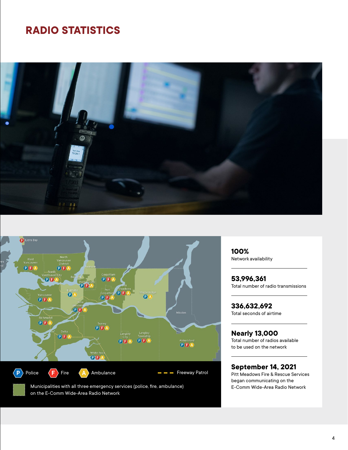## <span id="page-6-0"></span>**RADIO STATISTICS**





Municipalities with all three emergency services (police, fire, ambulance) on the E-Comm Wide-Area Radio Network

**100%**  Network availability

**53,996,361**  Total number of radio transmissions

**336,632,692** Total seconds of airtime

**Nearly 13,000**  Total number of radios available to be used on the network

### **September 14, 2021**

Pitt Meadows Fire & Rescue Services began communicating on the E-Comm Wide-Area Radio Network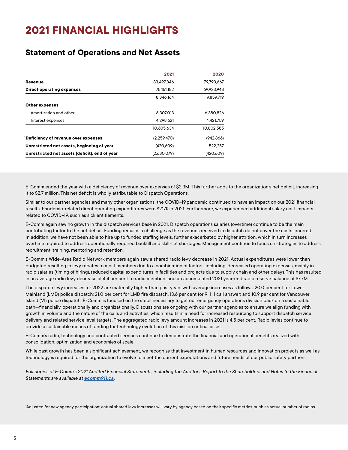## <span id="page-7-0"></span>**2021 FINANCIAL HIGHLIGHTS**

### **Statement of Operations and Net Assets**

|                                                | 2021        | 2020       |
|------------------------------------------------|-------------|------------|
| Revenue                                        | 83.497.346  | 79.793.667 |
| Direct operating expenses                      | 75.151.182  | 69.933.948 |
|                                                | 8.346.164   | 9.859.719  |
| <b>Other expenses</b>                          |             |            |
| Amortization and other                         | 6.307.013   | 6,380,826  |
| Interest expenses                              | 4.298.621   | 4.421.759  |
|                                                | 10.605.634  | 10,802,585 |
| 'Deficiency of revenue over expenses           | (2,259,470) | (942, 866) |
| Unrestricted net assets, beginning of year     | (420,609)   | 522.257    |
| Unrestricted net assets (deficit), end of year | (2,680,079) | (420,609)  |

E-Comm ended the year with a deficiency of revenue over expenses of \$2.3M. This further adds to the organization's net deficit, increasing it to \$2.7 million. This net deficit is wholly attributable to Dispatch Operations.

Similar to our partner agencies and many other organizations, the COVID-19 pandemic continued to have an impact on our 2021 financial results. Pandemic-related direct operating expenditures were \$217K in 2021. Furthermore, we experienced additional salary cost impacts related to COVID-19, such as sick entitlements.

E-Comm again saw no growth in the dispatch services base in 2021. Dispatch operations salaries (overtime) continue to be the main contributing factor to the net deficit. Funding remains a challenge as the revenues received in dispatch do not cover the costs incurred. In addition, we have not been able to hire up to funded staffing levels, further exacerbated by higher attrition, which in turn increases overtime required to address operationally required backfill and skill-set shortages. Management continue to focus on strategies to address recruitment, training, mentoring and retention.

E-Comm's Wide-Area Radio Network members again saw a shared radio levy decrease in 2021. Actual expenditures were lower than budgeted resulting in levy rebates to most members due to a combination of factors, including: decreased operating expenses, mainly in radio salaries (timing of hiring), reduced capital expenditures in facilities and projects due to supply chain and other delays. This has resulted in an average radio levy decrease of 4.4 per cent to radio members and an accumulated 2021 year-end radio reserve balance of \$7.7M.

The dispatch levy increases for 2022 are materially higher than past years with average increases as follows: 20.0 per cent for Lower Mainland (LMD) police dispatch; 21.0 per cent for LMD fire dispatch, 13.6 per cent for 9-1-1 call answer; and 10.9 per cent for Vancouver Island (VI) police dispatch. E-Comm is focused on the steps necessary to get our emergency operations division back on a sustainable path—financially, operationally and organizationally. Discussions are ongoing with our partner agencies to ensure we align funding with growth in volume and the nature of the calls and activities, which results in a need for increased resourcing to support dispatch service delivery and related service level targets. The aggregated radio levy amount increases in 2021 is 4.5 per cent. Radio levies continue to provide a sustainable means of funding for technology evolution of this mission critical asset.

E-Comm's radio, technology and contracted services continue to demonstrate the financial and operational benefits realized with consolidation, optimization and economies of scale.

While past growth has been a significant achievement, we recognize that investment in human resources and innovation projects as well as technology is required for the organization to evolve to meet the current expectations and future needs of our public safety partners.

*Full copies of E-Comm`s 2021 Audited Financial Statements, including the Auditor`s Report to the Shareholders and Notes to the Financial Statements are available at [ecomm911.ca.](https://www.ecomm911.ca/)*

1Adjusted for new agency participation; actual shared levy increases will vary by agency based on their specific metrics, such as actual number of radios.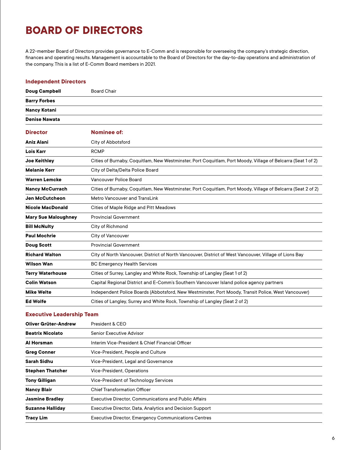## <span id="page-8-0"></span>**BOARD OF DIRECTORS**

A 22-member Board of Directors provides governance to E-Comm and is responsible for overseeing the company's strategic direction, finances and operating results. Management is accountable to the Board of Directors for the day-to-day operations and administration of the company. This is a list of E-Comm Board members in 2021.

#### **Independent Directors**

| <b>Doug Campbell</b>       | <b>Board Chair</b>                                                                                           |  |
|----------------------------|--------------------------------------------------------------------------------------------------------------|--|
| <b>Barry Forbes</b>        |                                                                                                              |  |
| Nancy Kotani               |                                                                                                              |  |
| <b>Denise Nawata</b>       |                                                                                                              |  |
| <b>Director</b>            | Nominee of:                                                                                                  |  |
| <b>Aniz Alani</b>          | City of Abbotsford                                                                                           |  |
| <b>Lois Karr</b>           | <b>RCMP</b>                                                                                                  |  |
| <b>Joe Keithley</b>        | Cities of Burnaby, Coquitlam, New Westminster, Port Coquitlam, Port Moody, Village of Belcarra (Seat 1 of 2) |  |
| <b>Melanie Kerr</b>        | City of Delta/Delta Police Board                                                                             |  |
| <b>Warren Lemcke</b>       | Vancouver Police Board                                                                                       |  |
| <b>Nancy McCurrach</b>     | Cities of Burnaby, Coquitlam, New Westminster, Port Coquitlam, Port Moody, Village of Belcarra (Seat 2 of 2) |  |
| <b>Jen McCutcheon</b>      | Metro Vancouver and TransLink                                                                                |  |
| <b>Nicole MacDonald</b>    | Cities of Maple Ridge and Pitt Meadows                                                                       |  |
| <b>Mary Sue Maloughney</b> | <b>Provincial Government</b>                                                                                 |  |
| <b>Bill McNulty</b>        | City of Richmond                                                                                             |  |
| <b>Paul Mochrie</b>        | City of Vancouver                                                                                            |  |
| <b>Doug Scott</b>          | <b>Provincial Government</b>                                                                                 |  |
| <b>Richard Walton</b>      | City of North Vancouver, District of North Vancouver, District of West Vancouver, Village of Lions Bay       |  |
| <b>Wilson Wan</b>          | <b>BC Emergency Health Services</b>                                                                          |  |
| <b>Terry Waterhouse</b>    | Cities of Surrey, Langley and White Rock, Township of Langley (Seat 1 of 2)                                  |  |
| <b>Colin Watson</b>        | Capital Regional District and E-Comm's Southern Vancouver Island police agency partners                      |  |
| <b>Mike Welte</b>          | Independent Police Boards (Abbotsford, New Westminster, Port Moody, Transit Police, West Vancouver)          |  |
| <b>Ed Wolfe</b>            | Cities of Langley, Surrey and White Rock, Township of Langley (Seat 2 of 2)                                  |  |

#### **Executive Leadership Team**

| Oliver Grüter-Andrew    | President & CEO                                              |
|-------------------------|--------------------------------------------------------------|
| <b>Beatrix Nicolato</b> | <b>Senior Executive Advisor</b>                              |
| Al Horsman              | Interim Vice-President & Chief Financial Officer             |
| <b>Greg Conner</b>      | Vice-President, People and Culture                           |
| Sarah Sidhu             | Vice-President, Legal and Governance                         |
| <b>Stephen Thatcher</b> | Vice-President, Operations                                   |
| <b>Tony Gilligan</b>    | Vice-President of Technology Services                        |
| <b>Nancy Blair</b>      | <b>Chief Transformation Officer</b>                          |
| <b>Jasmine Bradley</b>  | <b>Executive Director, Communications and Public Affairs</b> |
| <b>Suzanne Halliday</b> | Executive Director, Data, Analytics and Decision Support     |
| <b>Tracy Lim</b>        | <b>Executive Director, Emergency Communications Centres</b>  |